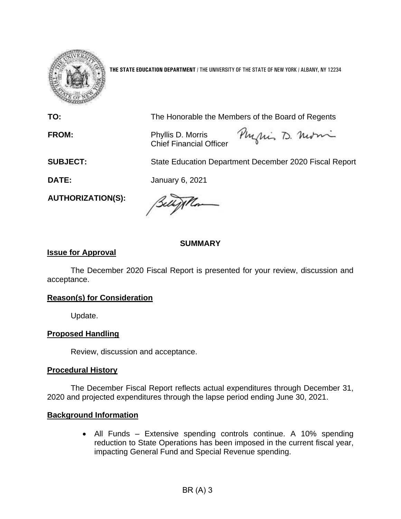

**THE STATE EDUCATION DEPARTMENT** / THE UNIVERSITY OF THE STATE OF NEW YORK / ALBANY, NY 12234

**TO:** The Honorable the Members of the Board of Regents

**FROM:** Phyllis D. Morris Chief Financial Officer

Physics D. normi

**SUBJECT:** State Education Department December 2020 Fiscal Report

**DATE:** January 6, 2021

**AUTHORIZATION(S):**

Willa

### **SUMMARY**

### **Issue for Approval**

The December 2020 Fiscal Report is presented for your review, discussion and acceptance.

## **Reason(s) for Consideration**

Update.

## **Proposed Handling**

Review, discussion and acceptance.

#### **Procedural History**

The December Fiscal Report reflects actual expenditures through December 31, 2020 and projected expenditures through the lapse period ending June 30, 2021.

#### **Background Information**

• All Funds – Extensive spending controls continue. A 10% spending reduction to State Operations has been imposed in the current fiscal year, impacting General Fund and Special Revenue spending.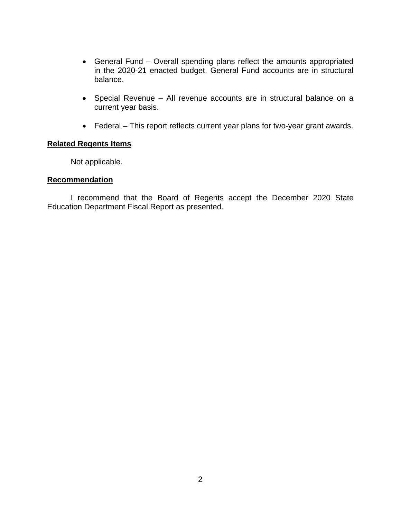- General Fund Overall spending plans reflect the amounts appropriated in the 2020-21 enacted budget. General Fund accounts are in structural balance.
- Special Revenue All revenue accounts are in structural balance on a current year basis.
- Federal This report reflects current year plans for two-year grant awards.

## **Related Regents Items**

Not applicable.

### **Recommendation**

I recommend that the Board of Regents accept the December 2020 State Education Department Fiscal Report as presented.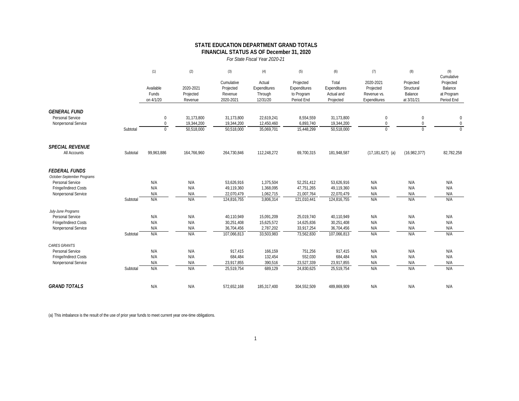#### **STATE EDUCATION DEPARTMENT GRAND TOTALS FINANCIAL STATUS AS OF December 31, 2020**

*For State Fiscal Year 2020-21*

|                                                    |          | (1)                             | (2)                               | (3)                                             | (4)                                           | (5)                                                   | (6)                                              | (7)                                                   | (8)                                              | (9)                                                            |
|----------------------------------------------------|----------|---------------------------------|-----------------------------------|-------------------------------------------------|-----------------------------------------------|-------------------------------------------------------|--------------------------------------------------|-------------------------------------------------------|--------------------------------------------------|----------------------------------------------------------------|
|                                                    |          | Available<br>Funds<br>on 4/1/20 | 2020-2021<br>Projected<br>Revenue | Cumulative<br>Projected<br>Revenue<br>2020-2021 | Actual<br>Expenditures<br>Through<br>12/31/20 | Projected<br>Expenditures<br>to Program<br>Period End | Total<br>Expenditures<br>Actual and<br>Projected | 2020-2021<br>Projected<br>Revenue vs.<br>Expenditures | Projected<br>Structural<br>Balance<br>at 3/31/21 | Cumulative<br>Projected<br>Balance<br>at Program<br>Period End |
| <b>GENERAL FUND</b>                                |          |                                 |                                   |                                                 |                                               |                                                       |                                                  |                                                       |                                                  |                                                                |
| Personal Service<br>Nonpersonal Service            |          | $\mathbf 0$<br>$\Omega$         | 31,173,800<br>19,344,200          | 31,173,800<br>19,344,200                        | 22,619,241<br>12,450,460                      | 8,554,559<br>6,893,740                                | 31,173,800<br>19,344,200                         | $\mathbf{0}$<br>$\mathbf 0$                           | $\mathbf 0$<br>0                                 | $\mathbf 0$<br>$\pmb{0}$                                       |
|                                                    | Subtotal | $\Omega$                        | 50,518,000                        | 50,518,000                                      | 35,069,701                                    | 15,448,299                                            | 50,518,000                                       | $\Omega$                                              | $\Omega$                                         | $\Omega$                                                       |
| <b>SPECIAL REVENUE</b>                             |          |                                 |                                   |                                                 |                                               |                                                       |                                                  |                                                       |                                                  |                                                                |
| All Accounts                                       | Subtotal | 99,963,886                      | 164,766,960                       | 264,730,846                                     | 112,248,272                                   | 69,700,315                                            | 181,948,587                                      | $(17, 181, 627)$ (a)                                  | (16,982,377)                                     | 82,782,258                                                     |
| <b>FEDERAL FUNDS</b><br>October-September Programs |          |                                 |                                   |                                                 |                                               |                                                       |                                                  |                                                       |                                                  |                                                                |
| Personal Service                                   |          | N/A                             | N/A                               | 53,626,916                                      | 1,375,504                                     | 52,251,412                                            | 53,626,916                                       | N/A                                                   | N/A                                              | N/A                                                            |
| Fringe/Indirect Costs                              |          | N/A                             | N/A                               | 49,119,360                                      | 1,368,095                                     | 47,751,265                                            | 49,119,360                                       | N/A                                                   | N/A                                              | N/A                                                            |
| Nonpersonal Service                                |          | N/A                             | N/A                               | 22,070,479                                      | 1,062,715                                     | 21,007,764                                            | 22,070,479                                       | N/A                                                   | N/A                                              | N/A                                                            |
|                                                    | Subtotal | N/A                             | N/A                               | 124,816,755                                     | 3,806,314                                     | 121,010,441                                           | 124,816,755                                      | N/A                                                   | N/A                                              | N/A                                                            |
| July-June Programs                                 |          |                                 |                                   |                                                 |                                               |                                                       |                                                  |                                                       |                                                  |                                                                |
| Personal Service                                   |          | N/A                             | N/A                               | 40.110.949                                      | 15,091,209                                    | 25.019.740                                            | 40.110.949                                       | N/A                                                   | N/A                                              | N/A                                                            |
| Fringe/Indirect Costs                              |          | N/A                             | N/A                               | 30,251,408                                      | 15,625,572                                    | 14,625,836                                            | 30,251,408                                       | N/A                                                   | N/A                                              | N/A                                                            |
| Nonpersonal Service                                |          | N/A                             | N/A                               | 36,704,456                                      | 2,787,202                                     | 33.917.254                                            | 36,704,456                                       | N/A                                                   | N/A                                              | N/A                                                            |
|                                                    | Subtotal | N/A                             | N/A                               | 107,066,813                                     | 33,503,983                                    | 73,562,830                                            | 107,066,813                                      | N/A                                                   | N/A                                              | N/A                                                            |
| <b>CARES GRANTS</b>                                |          |                                 |                                   |                                                 |                                               |                                                       |                                                  |                                                       |                                                  |                                                                |
| Personal Service                                   |          | N/A                             | N/A                               | 917,415                                         | 166,159                                       | 751,256                                               | 917,415                                          | N/A                                                   | N/A                                              | N/A                                                            |
| Fringe/Indirect Costs                              |          | N/A                             | N/A                               | 684,484                                         | 132,454                                       | 552,030                                               | 684,484                                          | N/A                                                   | N/A                                              | N/A                                                            |
| Nonpersonal Service                                |          | N/A                             | N/A                               | 23.917.855                                      | 390,516                                       | 23,527,339                                            | 23,917,855                                       | N/A                                                   | N/A                                              | N/A                                                            |
|                                                    | Subtotal | N/A                             | N/A                               | 25,519,754                                      | 689,129                                       | 24,830,625                                            | 25,519,754                                       | N/A                                                   | N/A                                              | N/A                                                            |
| <b>GRAND TOTALS</b>                                |          | N/A                             | N/A                               | 572,652,168                                     | 185,317,400                                   | 304,552,509                                           | 489,869,909                                      | N/A                                                   | N/A                                              | N/A                                                            |

(a) This imbalance is the result of the use of prior year funds to meet current year one-time obligations.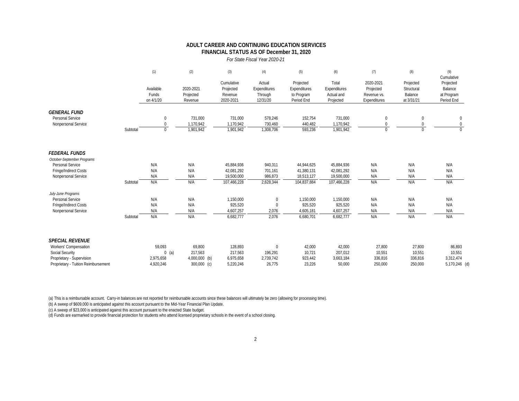#### *For State Fiscal Year 2020-21* **FINANCIAL STATUS AS OF December 31, 2020 ADULT CAREER AND CONTINUING EDUCATION SERVICES**

(1) (2) (3) (4) (5) (6) (7) (8) (8) (9) Cumulative<br>Projected Cumulative Actual Projected Total 2020-2021 Projected Projected Available 2020-2021 Projected Expenditures Expenditures Expenditures Projected Structural Balance Funds Projected Revenue Through to Program Actual and Revenue vs. Balance at Program on 4/1/20 Revenue 2020-2021 12/31/20 Period End Projected Expenditures at 3/31/21 Period End *GENERAL FUND*<br>Personal Service Personal Service 0 731,000 731,000 578,246 152,754 731,000 0 0 0 Nonpersonal Service 0 1,170,942 1,170,942 730,460 440,482 1,170,942 0 0 Subtotal 0 1,901,942 1,901,942 1,308,706 593,236 1,901,942 0 0 0 *FEDERAL FUNDS October-September Programs* Personal Service N/A N/A 45,884,936 940,311 44,944,625 45,884,936 N/A N/A N/A Fringe/Indirect Costs N/A N/A 42,081,292 701,161 41,380,131 42,081,292 N/A N/A N/A Nonpersonal Service N/A N/A 19,500,000 986,873 18,513,127 19,500,000 N/A N/A N/A Subtotal N/A N/A 107,466,228 2,628,344 104,837,884 107,466,228 N/A N/A N/A  *July-June Programs* Personal Service N/A N/A 1,150,000 0 1,150,000 1,150,000 N/A N/A N/A Fringe/Indirect Costs N/A N/A 925,520 0 925,520 925,520 N/A N/A N/A Nonpersonal Service N/A N/A 4,607,257 2,076 4,605,181 4,607,257 N/A N/A N/A Subtotal N/A N/A 6,682,777 2,076 6,680,701 6,682,777 N/A N/A N/A **SPECIAL REVENUE**<br>Workers' Compensation Workers' Compensation 59,093 69,800 128,893 0 42,000 42,000 27,800 27,800 86,893 Social Security 10,551 10,551 0 (a) 217,563 217,563 196,291 10,721 207,012 10,551 10,551 10,551 10,551 10,551 Proprietary - Supervision 2,975,658 4,000,000 (b) 6,975,658 2,739,742 923,442 3,663,184 336,816 336,816 3,312,474 Proprietary - Tuition Reimbursement 4,920,246 300,000 (c) 5,220,246 26,775 23,226 50,000 250,000 250,000 5,170,246 (d)

(a) This is a reimbursable account. Carry-in balances are not reported for reimbursable accounts since these balances will ultimately be zero (allowing for processing time).

(b) A sweep of \$609,000 is anticipated against this account pursuant to the Mid-Year Financial Plan Update.

(c) A sweep of \$23,000 is anticipated against this account pursuant to the enacted State budget.

(d) Funds are earmarked to provide financial protection for students who attend licensed proprietary schools in the event of a school closing.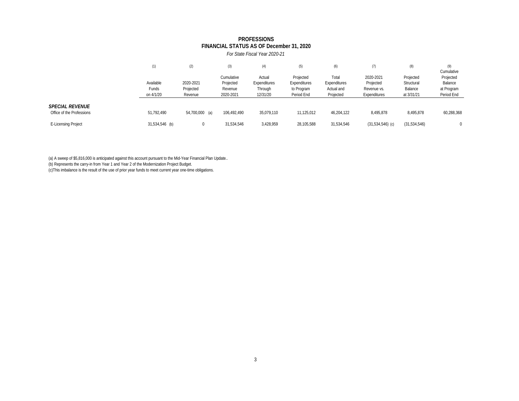# **FINANCIAL STATUS AS OF December 31, 2020 PROFESSIONS**

|  | For State Fiscal Year 2020-21 |
|--|-------------------------------|
|--|-------------------------------|

|                           | (1)            | (2)            | (3)         |              | (5)          | (6)          | (7)                | (8)          | (9)        |
|---------------------------|----------------|----------------|-------------|--------------|--------------|--------------|--------------------|--------------|------------|
|                           |                |                |             |              |              |              |                    |              | Cumulative |
|                           |                |                | Cumulative  | Actual       | Projected    | Total        | 2020-2021          | Projected    | Projected  |
|                           | Available      | 2020-2021      | Projected   | Expenditures | Expenditures | Expenditures | Projected          | Structural   | Balance    |
|                           | Funds          | Projected      | Revenue     | Through      | to Program   | Actual and   | Revenue vs.        | Balance      | at Program |
|                           | on 4/1/20      | Revenue        | 2020-2021   | 12/31/20     | Period End   | Projected    | Expenditures       | at 3/31/21   | Period End |
|                           |                |                |             |              |              |              |                    |              |            |
| <b>SPECIAL REVENUE</b>    |                |                |             |              |              |              |                    |              |            |
| Office of the Professions | 51,792,490     | 54,700,000 (a) | 106.492.490 | 35,079,110   | 11,125,012   | 46,204,122   | 8,495,878          | 8.495.878    | 60,288,368 |
| E-Licensing Project       | 31,534,546 (b) | $^{\circ}$     | 31,534,546  | 3,428,959    | 28,105,588   | 31,534,546   | $(31,534,546)$ (c) | (31,534,546) | $\Omega$   |
|                           |                |                |             |              |              |              |                    |              |            |

(a) A sweep of \$5,816,000 is anticipated against this account pursuant to the Mid-Year Financial Plan Update..

(b) Represents the carry-in from Year 1 and Year 2 of the Modernization Project Budget.

(c)This imbalance is the result of the use of prior year funds to meet current year one-time obligations.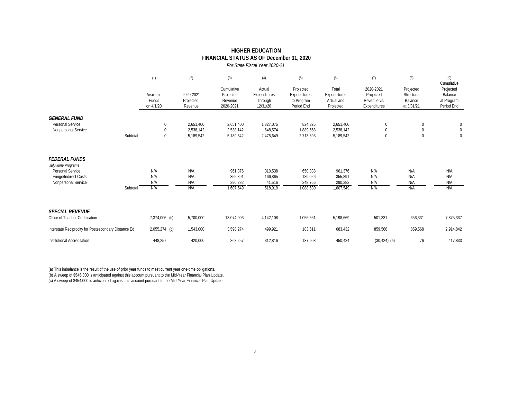|                                                                                                                |          |                                 |                                   |                                                 | For State Fiscal Year 2020-21                 |                                                       |                                                  |                                                       |                                                  |                                                  |
|----------------------------------------------------------------------------------------------------------------|----------|---------------------------------|-----------------------------------|-------------------------------------------------|-----------------------------------------------|-------------------------------------------------------|--------------------------------------------------|-------------------------------------------------------|--------------------------------------------------|--------------------------------------------------|
|                                                                                                                |          | (1)                             | (2)                               | (3)                                             | (4)                                           | (5)                                                   | (6)                                              | (7)                                                   | (8)                                              | (9)<br>Cumulative                                |
|                                                                                                                |          | Available<br>Funds<br>on 4/1/20 | 2020-2021<br>Projected<br>Revenue | Cumulative<br>Projected<br>Revenue<br>2020-2021 | Actual<br>Expenditures<br>Through<br>12/31/20 | Projected<br>Expenditures<br>to Program<br>Period End | Total<br>Expenditures<br>Actual and<br>Projected | 2020-2021<br>Projected<br>Revenue vs.<br>Expenditures | Projected<br>Structural<br>Balance<br>at 3/31/21 | Projected<br>Balance<br>at Program<br>Period End |
| <b>GENERAL FUND</b><br>Personal Service<br>Nonpersonal Service                                                 |          | $\mathbf 0$<br>$\Omega$         | 2,651,400<br>2,538,142            | 2,651,400<br>2,538,142                          | 1,827,075<br>648,574                          | 824,325<br>1,889,568                                  | 2,651,400<br>2,538,142                           | $\mathbf{0}$<br>$\Omega$                              | $\mathbf{0}$<br>$\mathbf 0$                      | $\mathbf{0}$<br>$\mathbf 0$                      |
|                                                                                                                | Subtotal | $\mathbf 0$                     | 5,189,542                         | 5,189,542                                       | 2,475,649                                     | 2,713,893                                             | 5,189,542                                        | $\mathbf{0}$                                          | $\Omega$                                         | $\Omega$                                         |
| <b>FEDERAL FUNDS</b><br>July-June Programs<br>Personal Service<br>Fringe/Indirect Costs<br>Nonpersonal Service |          | N/A<br>N/A<br>N/A               | N/A<br>N/A<br>N/A                 | 961,376<br>355,891<br>290,282                   | 310,538<br>166,865<br>41,516                  | 650,838<br>189,026<br>248,766                         | 961,376<br>355,891<br>290,282                    | N/A<br>N/A<br>N/A                                     | N/A<br>N/A<br>N/A                                | N/A<br>N/A<br>N/A                                |
|                                                                                                                | Subtotal | N/A                             | N/A                               | 1,607,549                                       | 518,919                                       | 1,088,630                                             | 1,607,549                                        | N/A                                                   | N/A                                              | N/A                                              |
| <b>SPECIAL REVENUE</b>                                                                                         |          |                                 |                                   |                                                 |                                               |                                                       |                                                  |                                                       |                                                  |                                                  |
| Office of Teacher Certification                                                                                |          | 7,374,006 (b)                   | 5,700,000                         | 13,074,006                                      | 4,142,108                                     | 1,056,561                                             | 5,198,669                                        | 501,331                                               | 656,331                                          | 7,875,337                                        |
| Interstate Reciprocity for Postsecondary Distance Ed                                                           |          | 2,055,274 (c)                   | 1,543,000                         | 3,598,274                                       | 499,921                                       | 183,511                                               | 683,432                                          | 859,568                                               | 859,568                                          | 2,914,842                                        |
| Institutional Accreditation                                                                                    |          | 448,257                         | 420,000                           | 868,257                                         | 312,816                                       | 137,608                                               | 450,424                                          | $(30, 424)$ (a)                                       | 76                                               | 417,833                                          |

**HIGHER EDUCATION FINANCIAL STATUS AS OF December 31, 2020**

(a) This imbalance is the result of the use of prior year funds to meet current year one-time obligations.

(b) A sweep of \$545,000 is anticipated against this account pursuant to the Mid-Year Financial Plan Update.

(c) A sweep of \$454,000 is anticipated against this account pursuant to the Mid-Year Financial Plan Update.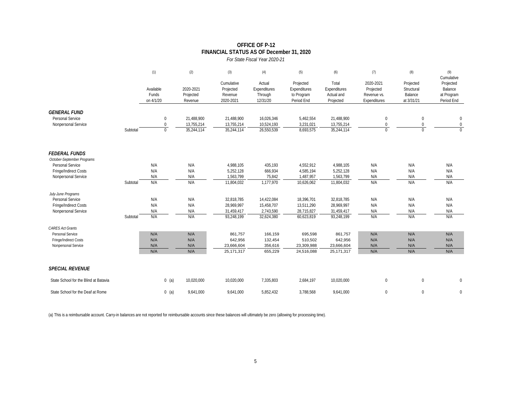#### **OFFICE OF P-12 FINANCIAL STATUS AS OF December 31, 2020**

| For State Fiscal Year 2020-21 |  |
|-------------------------------|--|

|                                                                                                                        |          | (1)                             | (2)                                    | (3)                                                  | (4)                                                 | (5)                                                   | (6)                                                  | (7)                                                   | (8)                                              | (9)<br>Cumulative                                |
|------------------------------------------------------------------------------------------------------------------------|----------|---------------------------------|----------------------------------------|------------------------------------------------------|-----------------------------------------------------|-------------------------------------------------------|------------------------------------------------------|-------------------------------------------------------|--------------------------------------------------|--------------------------------------------------|
|                                                                                                                        |          | Available<br>Funds<br>on 4/1/20 | 2020-2021<br>Projected<br>Revenue      | Cumulative<br>Projected<br>Revenue<br>2020-2021      | Actual<br>Expenditures<br>Through<br>12/31/20       | Projected<br>Expenditures<br>to Program<br>Period End | Total<br>Expenditures<br>Actual and<br>Projected     | 2020-2021<br>Projected<br>Revenue vs.<br>Expenditures | Projected<br>Structural<br>Balance<br>at 3/31/21 | Projected<br>Balance<br>at Program<br>Period End |
| <b>GENERAL FUND</b><br>Personal Service<br>Nonpersonal Service                                                         | Subtotal | 0<br>0<br>$\Omega$              | 21,488,900<br>13,755,214<br>35,244,114 | 21,488,900<br>13,755,214<br>35,244,114               | 16,026,346<br>10,524,193<br>26,550,539              | 5,462,554<br>3,231,021<br>8,693,575                   | 21,488,900<br>13,755,214<br>35,244,114               | $\mathbf 0$<br>$\mathbf 0$<br>$\Omega$                | 0<br>$\mathbf 0$<br>$\Omega$                     | 0<br>$\mathbf 0$<br>$\Omega$                     |
| <b>FEDERAL FUNDS</b><br>October-September Programs<br>Personal Service<br>Fringe/Indirect Costs<br>Nonpersonal Service | Subtotal | N/A<br>N/A<br>N/A<br>N/A        | N/A<br>N/A<br>N/A<br>N/A               | 4,988,105<br>5,252,128<br>1,563,799<br>11,804,032    | 435,193<br>666,934<br>75,842<br>1,177,970           | 4,552,912<br>4,585,194<br>1,487,957<br>10,626,062     | 4,988,105<br>5,252,128<br>1,563,799<br>11,804,032    | N/A<br>N/A<br>N/A<br>N/A                              | N/A<br>N/A<br>N/A<br>N/A                         | N/A<br>N/A<br>N/A<br>N/A                         |
| July-June Programs<br>Personal Service<br>Fringe/Indirect Costs<br>Nonpersonal Service                                 | Subtotal | N/A<br>N/A<br>N/A<br>N/A        | N/A<br>N/A<br>N/A<br>N/A               | 32,818,785<br>28,969,997<br>31,459,417<br>93,248,199 | 14,422,084<br>15,458,707<br>2,743,590<br>32,624,380 | 18,396,701<br>13,511,290<br>28,715,827<br>60,623,819  | 32,818,785<br>28,969,997<br>31,459,417<br>93,248,199 | N/A<br>N/A<br>N/A<br>N/A                              | N/A<br>N/A<br>N/A<br>N/A                         | N/A<br>N/A<br>N/A<br>N/A                         |
| <b>CARES Act Grants</b><br>Personal Service<br>Fringe/Indirect Costs<br>Nonpersonal Service                            |          | N/A<br>N/A<br>N/A<br>N/A        | N/A<br>N/A<br>N/A<br>N/A               | 861,757<br>642,956<br>23,666,604<br>25, 171, 317     | 166,159<br>132,454<br>356,616<br>655,229            | 695,598<br>510,502<br>23,309,988<br>24,516,088        | 861,757<br>642,956<br>23,666,604<br>25, 171, 317     | N/A<br>N/A<br>N/A<br>N/A                              | N/A<br>N/A<br>N/A<br>N/A                         | N/A<br>N/A<br>N/A<br>N/A                         |
| <b>SPECIAL REVENUE</b>                                                                                                 |          |                                 |                                        |                                                      |                                                     |                                                       |                                                      |                                                       |                                                  |                                                  |
| State School for the Blind at Batavia                                                                                  |          | $0$ (a)                         | 10,020,000                             | 10,020,000                                           | 7,335,803                                           | 2,684,197                                             | 10,020,000                                           | $\mathbf{0}$                                          | $\mathbf{0}$                                     | $\Omega$                                         |
| State School for the Deaf at Rome                                                                                      |          | $0$ (a)                         | 9,641,000                              | 9.641.000                                            | 5,852,432                                           | 3,788,568                                             | 9,641,000                                            | $\mathbf{0}$                                          | $\mathbf 0$                                      | $\mathbf{0}$                                     |

(a) This is a reimbursable account. Carry-in balances are not reported for reimbursable accounts since these balances will ultimately be zero (allowing for processing time).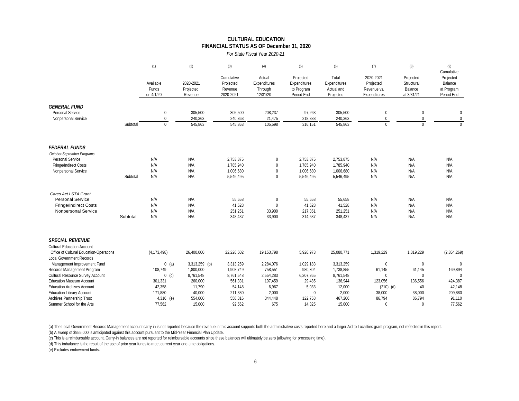#### **FINANCIAL STATUS AS OF December 31, 2020 CULTURAL EDUCATION**

*For State Fiscal Year 2020-21*

|                                                                              |          | (1)                             | (2)                               | (3)                                             | (4)                                           | (5)                                                   | (6)                                              | (7)                                                   | (8)                                              | (9)                                                            |
|------------------------------------------------------------------------------|----------|---------------------------------|-----------------------------------|-------------------------------------------------|-----------------------------------------------|-------------------------------------------------------|--------------------------------------------------|-------------------------------------------------------|--------------------------------------------------|----------------------------------------------------------------|
|                                                                              |          | Available<br>Funds<br>on 4/1/20 | 2020-2021<br>Projected<br>Revenue | Cumulative<br>Projected<br>Revenue<br>2020-2021 | Actual<br>Expenditures<br>Through<br>12/31/20 | Projected<br>Expenditures<br>to Program<br>Period End | Total<br>Expenditures<br>Actual and<br>Projected | 2020-2021<br>Projected<br>Revenue vs.<br>Expenditures | Projected<br>Structural<br>Balance<br>at 3/31/21 | Cumulative<br>Projected<br>Balance<br>at Program<br>Period End |
| <b>GENERAL FUND</b>                                                          |          |                                 |                                   |                                                 |                                               |                                                       |                                                  |                                                       |                                                  |                                                                |
| Personal Service                                                             |          | $\bf{0}$                        | 305,500                           | 305.500                                         | 208,237                                       | 97,263                                                | 305,500                                          | $\mathbf{0}$                                          | $\bf{0}$                                         | $\mathbf{0}$                                                   |
| Nonpersonal Service                                                          |          | $\mathbf 0$                     | 240,363                           | 240,363                                         | 21,475                                        | 218,888                                               | 240,363                                          | $\Omega$                                              | 0                                                | $\mathbf 0$                                                    |
|                                                                              | Subtotal | $\overline{0}$                  | 545,863                           | 545,863                                         | 105,598                                       | 316,151                                               | 545,863                                          | $\theta$                                              | $\overline{0}$                                   | $\Omega$                                                       |
| <b>FEDERAL FUNDS</b>                                                         |          |                                 |                                   |                                                 |                                               |                                                       |                                                  |                                                       |                                                  |                                                                |
| October-September Programs                                                   |          |                                 |                                   |                                                 |                                               |                                                       |                                                  |                                                       |                                                  |                                                                |
| Personal Service                                                             |          | N/A                             | N/A                               | 2,753,875                                       | $\mathbf 0$                                   | 2,753,875                                             | 2,753,875                                        | N/A                                                   | N/A                                              | N/A                                                            |
| Fringe/Indirect Costs                                                        |          | N/A                             | N/A                               | 1,785,940                                       | $\mathbf 0$                                   | 1,785,940                                             | 1,785,940                                        | N/A                                                   | N/A                                              | N/A                                                            |
| Nonpersonal Service                                                          | Subtotal | N/A<br>N/A                      | N/A<br>N/A                        | 1,006,680<br>5,546,495                          | $\mathbf 0$<br>$\overline{0}$                 | 1,006,680<br>5,546,495                                | 1,006,680<br>5,546,495                           | N/A<br>N/A                                            | N/A<br>N/A                                       | N/A<br>N/A                                                     |
|                                                                              |          |                                 |                                   |                                                 |                                               |                                                       |                                                  |                                                       |                                                  |                                                                |
| Cares Act LSTA Grant                                                         |          |                                 |                                   |                                                 |                                               |                                                       |                                                  |                                                       |                                                  |                                                                |
| <b>Personal Service</b>                                                      |          | N/A                             | N/A                               | 55.658                                          | $\mathbf 0$                                   | 55,658                                                | 55,658                                           | N/A                                                   | N/A                                              | N/A                                                            |
| <b>Fringe/Indirect Costs</b>                                                 |          | N/A                             | N/A                               | 41,528                                          | $\mathbf 0$                                   | 41,528                                                | 41,528                                           | N/A                                                   | N/A                                              | N/A                                                            |
| Nonpersonal Service                                                          |          | N/A                             | N/A                               | 251,251                                         | 33,900                                        | 217,351                                               | 251,251                                          | N/A                                                   | N/A                                              | N/A                                                            |
|                                                                              | Subtotal | N/A                             | N/A                               | 348.437                                         | 33.900                                        | 314.537                                               | 348.437                                          | N/A                                                   | N/A                                              | N/A                                                            |
| <b>SPECIAL REVENUE</b>                                                       |          |                                 |                                   |                                                 |                                               |                                                       |                                                  |                                                       |                                                  |                                                                |
| <b>Cultural Education Account</b><br>Office of Cultural Education-Operations |          | (4, 173, 498)                   | 26,400,000                        | 22,226,502                                      | 19,153,798                                    | 5,926,973                                             | 25,080,771                                       | 1,319,229                                             | 1,319,229                                        | (2,854,269)                                                    |
| <b>Local Government Records</b><br>Management Improvement Fund               |          | $0$ (a)                         | 3,313,259 (b)                     | 3,313,259                                       | 2,284,076                                     | 1,029,183                                             | 3,313,259                                        | $\bf{0}$                                              | $\bf{0}$                                         | $\Omega$                                                       |
| Records Management Program                                                   |          | 108,749                         | 1,800,000                         | 1,908,749                                       | 758,551                                       | 980,304                                               | 1,738,855                                        | 61,145                                                | 61,145                                           | 169,894                                                        |
| Cultural Resource Survey Account                                             |          | $0$ (c)                         | 8,761,548                         | 8,761,548                                       | 2,554,283                                     | 6,207,265                                             | 8,761,548                                        | $\Omega$                                              | $\mathbf{0}$                                     | $\Omega$                                                       |
| <b>Education Museum Account</b>                                              |          | 301,331                         | 260,000                           | 561.331                                         | 107.459                                       | 29,485                                                | 136.944                                          | 123,056                                               | 136,556                                          | 424,387                                                        |
| <b>Education Archives Account</b>                                            |          | 42,358                          | 11,790                            | 54,148                                          | 6,967                                         | 5,033                                                 | 12,000                                           | $(210)$ (d)                                           | 40                                               | 42,148                                                         |
| <b>Education Library Account</b>                                             |          | 171,880                         | 40,000                            | 211,880                                         | 2,000                                         | $\mathbf{0}$                                          | 2,000                                            | 38,000                                                | 38,000                                           | 209,880                                                        |
| Archives Partnership Trust                                                   |          | 4,316 (e)                       | 554,000                           | 558,316                                         | 344,448                                       | 122,758                                               | 467,206                                          | 86,794                                                | 86,794                                           | 91,110                                                         |
| Summer School for the Arts                                                   |          | 77,562                          | 15,000                            | 92,562                                          | 675                                           | 14,325                                                | 15,000                                           | $\Omega$                                              | $\mathbf 0$                                      | 77,562                                                         |

(a) The Local Government Records Management account carry-in is not reported because the revenue in this account supports both the administrative costs reported here and a larger Aid to Localities grant program, not reflec (b) A sweep of \$955,000 is anticipated against this account pursuant to the Mid-Year Financial Plan Update.

(c) This is a reimbursable account. Carry-in balances are not reported for reimbursable accounts since these balances will ultimately be zero (allowing for processing time).

(d) This imbalance is the result of the use of prior year funds to meet current year one-time obligations.

(e) Excludes endowment funds.